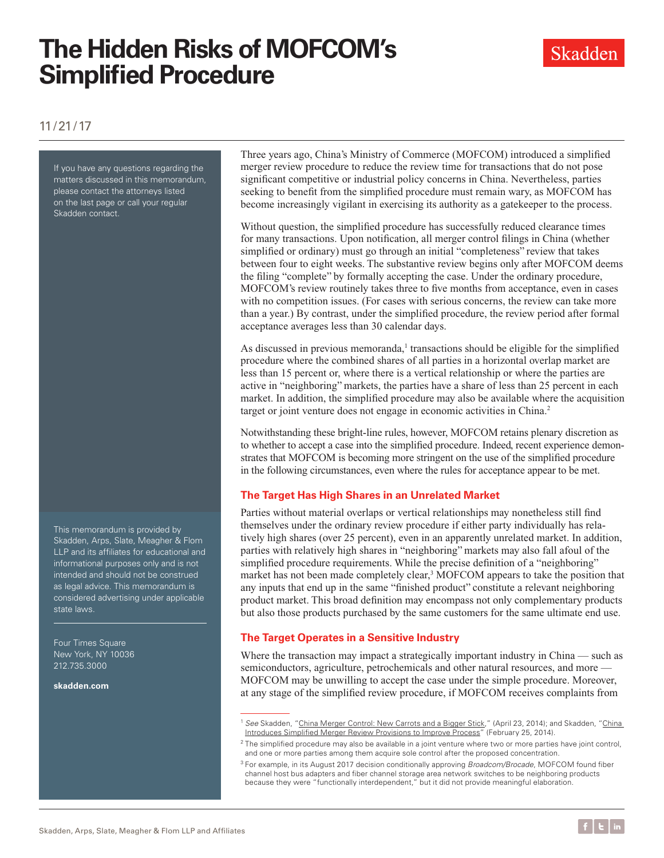# **The Hidden Risks of MOFCOM's Simplified Procedure**



## 11/21/17

If you have any questions regarding the matters discussed in this memorandum, please contact the attorneys listed on the last page or call your regular Skadden contact.

This memorandum is provided by Skadden, Arps, Slate, Meagher & Flom LLP and its affiliates for educational and informational purposes only and is not intended and should not be construed as legal advice. This memorandum is considered advertising under applicable state laws.

Four Times Square New York, NY 10036 212.735.3000

**<skadden.com>**

Three years ago, China's Ministry of Commerce (MOFCOM) introduced a simplified merger review procedure to reduce the review time for transactions that do not pose significant competitive or industrial policy concerns in China. Nevertheless, parties seeking to benefit from the simplified procedure must remain wary, as MOFCOM has become increasingly vigilant in exercising its authority as a gatekeeper to the process.

Without question, the simplified procedure has successfully reduced clearance times for many transactions. Upon notification, all merger control filings in China (whether simplified or ordinary) must go through an initial "completeness" review that takes between four to eight weeks. The substantive review begins only after MOFCOM deems the filing "complete" by formally accepting the case. Under the ordinary procedure, MOFCOM's review routinely takes three to five months from acceptance, even in cases with no competition issues. (For cases with serious concerns, the review can take more than a year.) By contrast, under the simplified procedure, the review period after formal acceptance averages less than 30 calendar days.

As discussed in previous memoranda, $<sup>1</sup>$  transactions should be eligible for the simplified</sup> procedure where the combined shares of all parties in a horizontal overlap market are less than 15 percent or, where there is a vertical relationship or where the parties are active in "neighboring" markets, the parties have a share of less than 25 percent in each market. In addition, the simplified procedure may also be available where the acquisition target or joint venture does not engage in economic activities in China.<sup>2</sup>

Notwithstanding these bright-line rules, however, MOFCOM retains plenary discretion as to whether to accept a case into the simplified procedure. Indeed, recent experience demonstrates that MOFCOM is becoming more stringent on the use of the simplified procedure in the following circumstances, even where the rules for acceptance appear to be met.

## **The Target Has High Shares in an Unrelated Market**

Parties without material overlaps or vertical relationships may nonetheless still find themselves under the ordinary review procedure if either party individually has relatively high shares (over 25 percent), even in an apparently unrelated market. In addition, parties with relatively high shares in "neighboring" markets may also fall afoul of the simplified procedure requirements. While the precise definition of a "neighboring" market has not been made completely clear,<sup>3</sup> MOFCOM appears to take the position that any inputs that end up in the same "finished product" constitute a relevant neighboring product market. This broad definition may encompass not only complementary products but also those products purchased by the same customers for the same ultimate end use.

## **The Target Operates in a Sensitive Industry**

Where the transaction may impact a strategically important industry in China — such as semiconductors, agriculture, petrochemicals and other natural resources, and more — MOFCOM may be unwilling to accept the case under the simple procedure. Moreover, at any stage of the simplified review procedure, if MOFCOM receives complaints from

<sup>&</sup>lt;sup>1</sup> See Skadden, "[China Merger Control: New Carrots and a Bigger Stick](https://www.skadden.com/insights/publications/2014/04/china-merger-control-new-carrots-and-a-bigger-stic)," (April 23, 2014); and Skadden, "China [Introduces Simplified Merger Review Provisions to Improve Process"](https://www.skadden.com/insights/publications/2014/02/china-introduces-simplified-merger-review-provisio) (February 25, 2014).

 $2$  The simplified procedure may also be available in a joint venture where two or more parties have joint control, and one or more parties among them acquire sole control after the proposed concentration.

<sup>3</sup> For example, in its August 2017 decision conditionally approving *Broadcom/Brocade*, MOFCOM found fiber channel host bus adapters and fiber channel storage area network switches to be neighboring products because they were "functionally interdependent," but it did not provide meaningful elaboration.